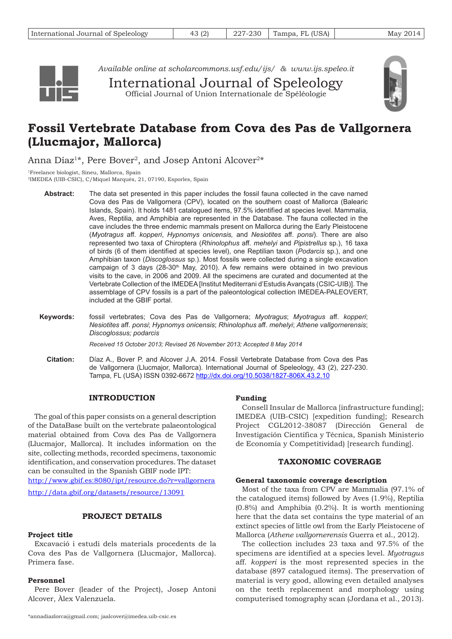

*Available online at <scholarcommons.usf.edu/ijs/>& www.ijs.speleo.it*

International Journal of Speleology Official Journal of Union Internationale de Spéléologie



# **Fossil Vertebrate Database from Cova des Pas de Vallgornera (Llucmajor, Mallorca)**

Anna Díaz<sup>1\*</sup>, Pere Bover<sup>2</sup>, and Josep Antoni Alcover<sup>2\*</sup>

1Freelance biologist, Sineu, Mallorca, Spain

- 2IMEDEA (UIB-CSIC), C/Miquel Marquès, 21, 07190, Esporles, Spain
	- The data set presented in this paper includes the fossil fauna collected in the cave named Cova des Pas de Vallgornera (CPV), located on the southern coast of Mallorca (Balearic Islands, Spain). It holds 1481 catalogued items, 97.5% identified at species level. Mammalia, Aves, Reptilia, and Amphibia are represented in the Database. The fauna collected in the cave includes the three endemic mammals present on Mallorca during the Early Pleistocene (*Myotragus* aff. *kopperi*, *Hypnomys onicensis,* and *Nesiotites* aff. *ponsi*). There are also represented two taxa of Chiroptera (*Rhinolophus* aff. *mehelyi* and *Pipistrellus* sp.), 16 taxa of birds (6 of them identified at species level), one Reptilian taxon (*Podarcis* sp.), and one Amphibian taxon (*Discoglossus* sp.). Most fossils were collected during a single excavation campaign of 3 days  $(28-30<sup>th</sup>$  May, 2010). A few remains were obtained in two previous visits to the cave, in 2006 and 2009. All the specimens are curated and documented at the Vertebrate Collection of the IMEDEA [Institut Mediterrani d'Estudis Avançats (CSIC-UIB)]. The assemblage of CPV fossils is a part of the paleontological collection IMEDEA-PALEOVERT, included at the GBIF portal. **Abstract:**
	- fossil vertebrates; Cova des Pas de Vallgornera; *Myotragus*; *Myotragus* aff. *kopperi*; *Nesiotites* aff. *ponsi*; *Hypnomys onicensis*; *Rhinolophus* aff. *mehelyi*; *Athene vallgornerensis*; *Discoglossus; podarcis* **Keywords:**

*Received 15 October 2013; Revised 26 November 2013; Accepted 8 May 2014*

Díaz A., Bover P. and Alcover J.A. 2014. Fossil Vertebrate Database from Cova des Pas de Vallgornera (Llucmajor, Mallorca). International Journal of Speleology, 43 (2), 227-230. Tampa, FL (USA) ISSN 0392-6672 http://dx.doi.org/10.5038/1827-806X.43.2.10 **Citation:**

# **INTRODUCTION**

The goal of this paper consists on a general description of the DataBase built on the vertebrate palaeontological material obtained from Cova des Pas de Vallgornera (Llucmajor, Mallorca). It includes information on the site, collecting methods, recorded specimens, taxonomic identification, and conservation procedures. The dataset can be consulted in the Spanish GBIF node IPT: http://www.gbif.es:8080/ipt/resource.do?r=vallgornera

http://data.gbif.org/datasets/resource/13091

# **PROJECT DETAILS**

# **Project title**

Excavació i estudi dels materials procedents de la Cova des Pas de Vallgornera (Llucmajor, Mallorca). Primera fase.

## **Personnel**

Pere Bover (leader of the Project), Josep Antoni Alcover, Àlex Valenzuela.

# **Funding**

Consell Insular de Mallorca [infrastructure funding]; IMEDEA (UIB-CSIC) [expedition funding]; Research Project CGL2012-38087 (Dirección General de Investigación Científica y Técnica, Spanish Ministerio de Economía y Competitividad) [research funding].

# **TAXONOMIC COVERAGE**

## **General taxonomic coverage description**

Most of the taxa from CPV are Mammalia (97.1% of the catalogued items) followed by Aves (1.9%), Reptilia (0.8%) and Amphibia (0.2%). It is worth mentioning here that the data set contains the type material of an extinct species of little owl from the Early Pleistocene of Mallorca (*Athene vallgornerensis* Guerra et al., 2012).

The collection includes 23 taxa and 97.5% of the specimens are identified at a species level. *Myotragus* aff. *kopperi* is the most represented species in the database (897 catalogued items). The preservation of material is very good, allowing even detailed analyses on the teeth replacement and morphology using computerised tomography scan (Jordana et al., 2013).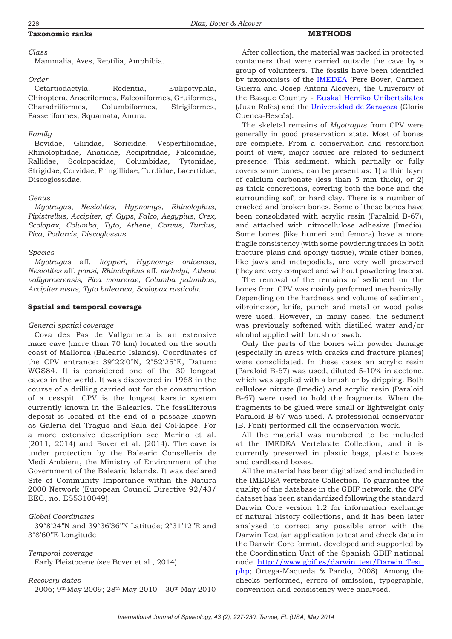## **Taxonomic ranks**

#### *Class*

Mammalia, Aves, Reptilia, Amphibia.

#### *Order*

Cetartiodactyla, Rodentia, Eulipotyphla, Chiroptera, Anseriformes, Falconiformes, Gruiformes, Charadriiformes, Columbiformes, Strigiformes, Passeriformes, Squamata, Anura.

### *Family*

Bovidae, Gliridae, Soricidae, Vespertilionidae, Rhinolophidae, Anatidae, Accipitridae, Falconidae, Rallidae, Scolopacidae, Columbidae, Tytonidae, Strigidae, Corvidae, Fringillidae, Turdidae, Lacertidae, Discoglossidae.

#### *Genus*

*Myotragus*, *Nesiotites*, *Hypnomys*, *Rhinolophus*, *Pipistrellus*, *Accipiter*, *cf. Gyps*, *Falco*, *Aegypius*, *Crex*, *Scolopax*, *Columba*, *Tyto*, *Athene*, *Corvus*, *Turdus*, *Pica*, *Podarcis*, *Discoglossus*.

#### *Species*

*Myotragus* aff*. kopperi, Hypnomys onicensis, Nesiotites* aff*. ponsi, Rhinolophus* aff*. mehelyi, Athene vallgornerensis, Pica mourerae, Columba palumbus, Accipiter nisus, Tyto balearica, Scolopax rusticola.*

#### **Spatial and temporal coverage**

#### *General spatial coverage*

Cova des Pas de Vallgornera is an extensive maze cave (more than 70 km) located on the south coast of Mallorca (Balearic Islands). Coordinates of the CPV entrance: 39°22′0″N, 2°52′25″E, Datum: WGS84. It is considered one of the 30 longest caves in the world. It was discovered in 1968 in the course of a drilling carried out for the construction of a cesspit. CPV is the longest karstic system currently known in the Balearics. The fossiliferous deposit is located at the end of a passage known as Galeria del Tragus and Sala del Col·lapse. For a more extensive description see Merino et al. (2011, 2014) and Bover et al. (2014). The cave is under protection by the Balearic Conselleria de Medi Ambient, the Ministry of Environment of the Government of the Balearic Islands. It was declared Site of Community Importance within the Natura 2000 Network (European Council Directive 92/43/ EEC, no. ES5310049).

#### *Global Coordinates*

39°8'24''N and 39°36'36''N Latitude; 2°31'12''E and 3°8'60''E Longitude

#### *Temporal coverage*

Early Pleistocene (see Bover et al., 2014)

#### *Recovery dates*

2006; 9th May 2009; 28th May 2010 – 30th May 2010

After collection, the material was packed in protected containers that were carried outside the cave by a group of volunteers. The fossils have been identified by taxonomists of the [IMEDEA](http://www.imedea.uib.es/?lang=ca) (Pere Bover, Carmen Guerra and Josep Antoni Alcover), the University of the Basque Country - [Euskal Herriko Unibertsitatea](http://www.ehu.es/) (Juan Rofes) and the [Universidad de Zaragoza](http://www.unizar.es/) (Gloria Cuenca-Bescós).

**METHODS**

The skeletal remains of *Myotragus* from CPV were generally in good preservation state. Most of bones are complete. From a conservation and restoration point of view, major issues are related to sediment presence. This sediment, which partially or fully covers some bones, can be present as: 1) a thin layer of calcium carbonate (less than 5 mm thick), or 2) as thick concretions, covering both the bone and the surrounding soft or hard clay. There is a number of cracked and broken bones. Some of these bones have been consolidated with acrylic resin (Paraloid B-67), and attached with nitrocellulose adhesive (Imedio). Some bones (like humeri and femora) have a more fragile consistency (with some powdering traces in both fracture plans and spongy tissue), while other bones, like jaws and metapodials, are very well preserved (they are very compact and without powdering traces).

The removal of the remains of sediment on the bones from CPV was mainly performed mechanically. Depending on the hardness and volume of sediment, vibroincisor, knife, punch and metal or wood poles were used. However, in many cases, the sediment was previously softened with distilled water and/or alcohol applied with brush or swab.

Only the parts of the bones with powder damage (especially in areas with cracks and fracture planes) were consolidated. In these cases an acrylic resin (Paraloid B-67) was used, diluted 5-10% in acetone, which was applied with a brush or by dripping. Both cellulose nitrate (Imedio) and acrylic resin (Paraloid B-67) were used to hold the fragments. When the fragments to be glued were small or lightweight only Paraloid B-67 was used. A professional conservator (B. Font) performed all the conservation work.

All the material was numbered to be included at the IMEDEA Vertebrate Collection, and it is currently preserved in plastic bags, plastic boxes and cardboard boxes.

All the material has been digitalized and included in the IMEDEA vertebrate Collection. To guarantee the quality of the database in the GBIF network, the CPV dataset has been standardized following the standard Darwin Core version 1.2 for information exchange of natural history collections, and it has been later analysed to correct any possible error with the Darwin Test (an application to test and check data in the Darwin Core format, developed and supported by the Coordination Unit of the Spanish GBIF national node [http://www.gbif.es/darwin\\_test/Darwin\\_Test.](http://www.gbif.es/darwin_test/Darwin_Test.php) [php;](http://www.gbif.es/darwin_test/Darwin_Test.php) Ortega-Maqueda & Pando, 2008). Among the checks performed, errors of omission, typographic, convention and consistency were analysed.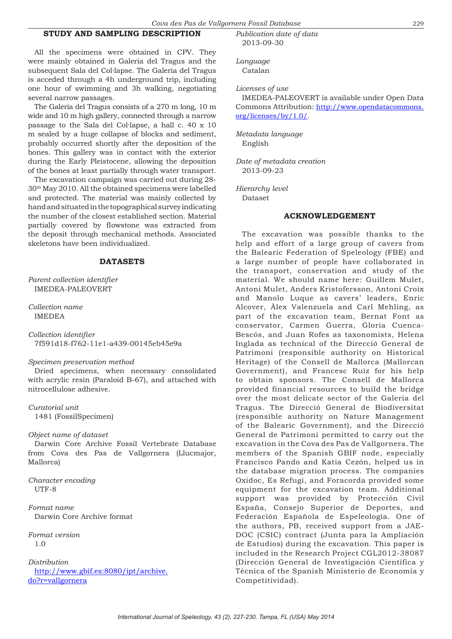# **STUDY AND SAMPLING DESCRIPTION**

All the specimens were obtained in CPV. They were mainly obtained in Galeria del Tragus and the subsequent Sala del Col·lapse. The Galeria del Tragus is acceded through a 4h underground trip, including one hour of swimming and 3h walking, negotiating several narrow passages.

The Galeria del Tragus consists of a 270 m long, 10 m wide and 10 m high gallery, connected through a narrow passage to the Sala del Col·lapse, a hall c. 40 x 10 m sealed by a huge collapse of blocks and sediment, probably occurred shortly after the deposition of the bones. This gallery was in contact with the exterior during the Early Pleistocene, allowing the deposition of the bones at least partially through water transport.

The excavation campaign was carried out during 28- 30th May 2010. All the obtained specimens were labelled and protected. The material was mainly collected by hand and situated in the topographical survey indicating the number of the closest established section. Material partially covered by flowstone was extracted from the deposit through mechanical methods. Associated skeletons have been individualized.

#### **DATASETS**

*Parent collection identifier* IMEDEA-PALEOVERT

*Collection name* IMEDEA

*Collection identifier* 7f591d18-f762-11e1-a439-00145eb45e9a

#### *Specimen preservation method*

Dried specimens, when necessary consolidated with acrylic resin (Paraloid B-67), and attached with nitrocellulose adhesive.

*Curatorial unit* 1481 (FossilSpecimen)

#### *Object name of dataset*

Darwin Core Archive Fossil Vertebrate Database from Cova des Pas de Vallgornera (Llucmajor, Mallorca)

*Character encoding* UTF-8

*Format name* Darwin Core Archive format

*Format version* 1.0

#### *Distribution*

[http://www.gbif.es:8080/ipt/archive.](http://www.gbif.es:8080/ipt/archive.do?r=vallgornera) do?r=vallgornera

*Publication date of data* 2013-09-30

*Language* Catalan

*Licenses of use*

IMEDEA-PALEOVERT is available under Open Data Commons Attribution: [http://www.opendatacommons.](http://www.opendatacommons.org/licenses/by/1.0/) [org/licenses/by/1.0/](http://www.opendatacommons.org/licenses/by/1.0/).

*Metadata language* English

*Date of metadata creation* 2013-09-23

*Hierarchy level* Dataset

#### **ACKNOWLEDGEMENT**

The excavation was possible thanks to the help and effort of a large group of cavers from the Balearic Federation of Speleology (FBE) and a large number of people have collaborated in the transport, conservation and study of the material. We should name here: Guillem Mulet, Antoni Mulet, Anders Kristofersson, Antoni Croix and Manolo Luque as cavers' leaders, Enric Alcover, Àlex Valenzuela and Carl Mehling, as part of the excavation team, Bernat Font as conservator, Carmen Guerra, Gloria Cuenca-Bescós, and Juan Rofes as taxonomists, Helena Inglada as technical of the Direcció General de Patrimoni (responsible authority on Historical Heritage) of the Consell de Mallorca (Mallorcan Government), and Francesc Ruiz for his help to obtain sponsors. The Consell de Mallorca provided financial resources to build the bridge over the most delicate sector of the Galeria del Tragus. The Direcció General de Biodiversitat (responsible authority on Nature Management of the Balearic Government), and the Direcció General de Patrimoni permitted to carry out the excavation in the Cova des Pas de Vallgornera. The members of the Spanish GBIF node, especially Francisco Pando and Katia Cezón, helped us in the database migration process. The companies Oxidoc, Es Refugi, and Foracorda provided some equipment for the excavation team. Additional support was provided by Protección Civil España, Consejo Superior de Deportes, and Federación Española de Espeleología. One of the authors, PB, received support from a JAE-DOC (CSIC) contract (Junta para la Ampliación de Estudios) during the excavation. This paper is included in the Research Project CGL2012-38087 (Dirección General de Investigación Científica y Técnica of the Spanish Ministerio de Economía y Competitividad).